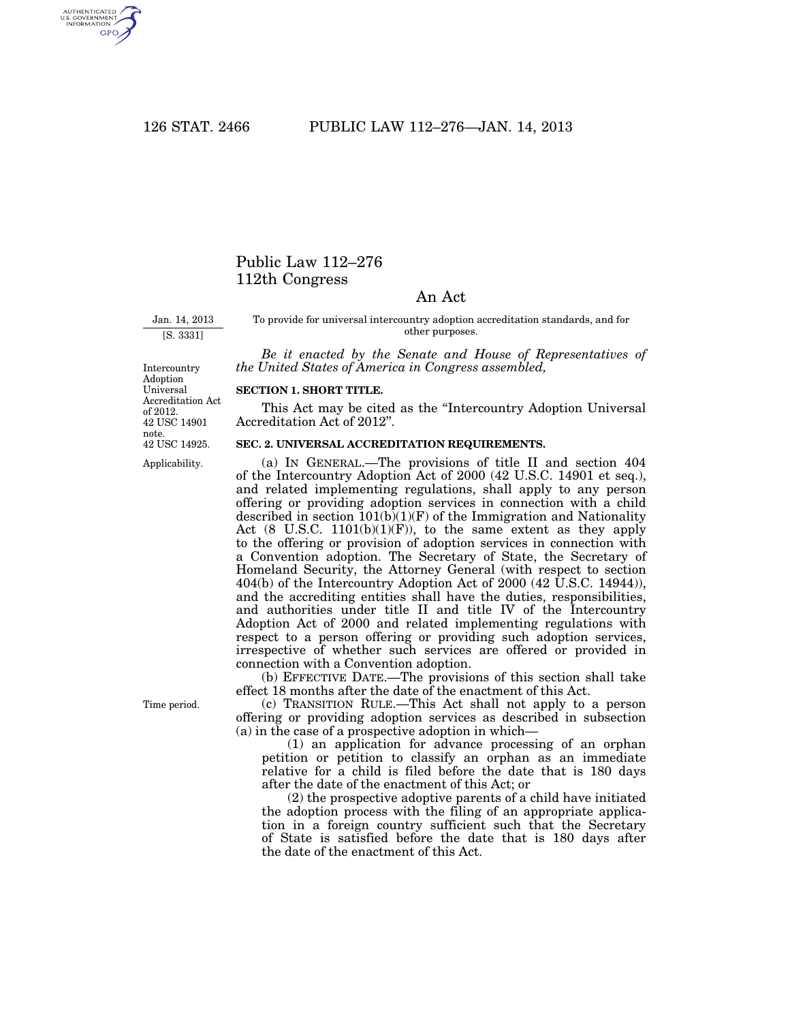AUTHENTICATED<br>U.S. GOVERNMENT<br>INFORMATION **GPO** 

# Public Law 112–276 112th Congress

## An Act

Jan. 14, 2013 [S. 3331]

To provide for universal intercountry adoption accreditation standards, and for other purposes.

*Be it enacted by the Senate and House of Representatives of the United States of America in Congress assembled,* 

**SECTION 1. SHORT TITLE.** 

This Act may be cited as the ''Intercountry Adoption Universal Accreditation Act of 2012''.

### **SEC. 2. UNIVERSAL ACCREDITATION REQUIREMENTS.**

(a) IN GENERAL.—The provisions of title II and section 404 of the Intercountry Adoption Act of 2000 (42 U.S.C. 14901 et seq.), and related implementing regulations, shall apply to any person offering or providing adoption services in connection with a child described in section  $101(b)(1)(F)$  of the Immigration and Nationality Act (8 U.S.C. 1101(b)(1)(F)), to the same extent as they apply to the offering or provision of adoption services in connection with a Convention adoption. The Secretary of State, the Secretary of Homeland Security, the Attorney General (with respect to section  $404(b)$  of the Intercountry Adoption Act of 2000 (42 U.S.C. 14944)), and the accrediting entities shall have the duties, responsibilities, and authorities under title II and title IV of the Intercountry Adoption Act of 2000 and related implementing regulations with respect to a person offering or providing such adoption services, irrespective of whether such services are offered or provided in connection with a Convention adoption.

(b) EFFECTIVE DATE.—The provisions of this section shall take effect 18 months after the date of the enactment of this Act.

(c) TRANSITION RULE.—This Act shall not apply to a person offering or providing adoption services as described in subsection (a) in the case of a prospective adoption in which—

(1) an application for advance processing of an orphan petition or petition to classify an orphan as an immediate relative for a child is filed before the date that is 180 days after the date of the enactment of this Act; or

(2) the prospective adoptive parents of a child have initiated the adoption process with the filing of an appropriate application in a foreign country sufficient such that the Secretary of State is satisfied before the date that is 180 days after the date of the enactment of this Act.

42 USC 14925. Intercountry Adoption Universal Accreditation Act of 2012. 42 USC 14901 note.

Applicability.

Time period.